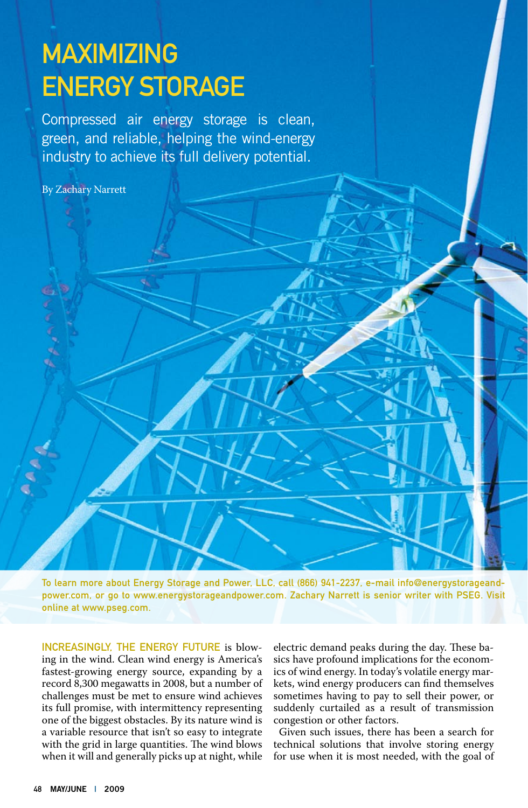# **MAXIMIZING ENERGY STORAGE**

Compressed air energy storage is clean, green, and reliable, helping the wind-energy industry to achieve its full delivery potential.

By Zachary Narrett

To learn more about Energy Storage and Power, LLC, call (866) 941-2237, e-mail info@energystorageandpower.com, or go to www.energystorageandpower.com. Zachary Narrett is senior writer with PSEG. Visit online at www.pseg.com.

Increasingly, the energy future is blowing in the wind. Clean wind energy is America's fastest-growing energy source, expanding by a record 8,300 megawatts in 2008, but a number of challenges must be met to ensure wind achieves its full promise, with intermittency representing one of the biggest obstacles. By its nature wind is a variable resource that isn't so easy to integrate with the grid in large quantities. The wind blows when it will and generally picks up at night, while

electric demand peaks during the day. These basics have profound implications for the economics of wind energy. In today's volatile energy markets, wind energy producers can find themselves sometimes having to pay to sell their power, or suddenly curtailed as a result of transmission congestion or other factors.

Given such issues, there has been a search for technical solutions that involve storing energy for use when it is most needed, with the goal of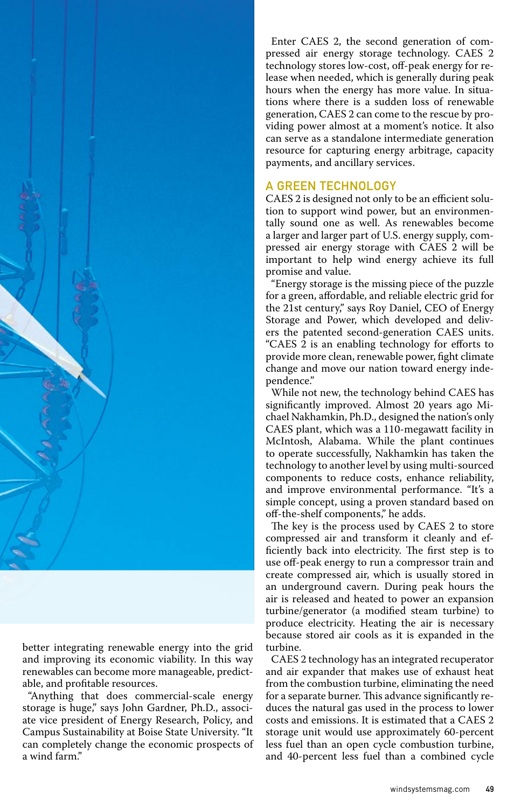

better integrating renewable energy into the grid and improving its economic viability. In this way renewables can become more manageable, predictable, and profitable resources.

"Anything that does commercial-scale energy storage is huge," says John Gardner, Ph.D., associate vice president of Energy Research, Policy, and Campus Sustainability at Boise State University. "It can completely change the economic prospects of a wind farm."

Enter CAES 2, the second generation of compressed air energy storage technology. CAES 2 technology stores low-cost, off-peak energy for release when needed, which is generally during peak hours when the energy has more value. In situations where there is a sudden loss of renewable generation, CAES 2 can come to the rescue by providing power almost at a moment's notice. It also can serve as a standalone intermediate generation resource for capturing energy arbitrage, capacity payments, and ancillary services.

## A Green Technology

CAES 2 is designed not only to be an efficient solution to support wind power, but an environmentally sound one as well. As renewables become a larger and larger part of U.S. energy supply, compressed air energy storage with CAES 2 will be important to help wind energy achieve its full promise and value.

"Energy storage is the missing piece of the puzzle for a green, affordable, and reliable electric grid for the 21st century," says Roy Daniel, CEO of Energy Storage and Power, which developed and delivers the patented second-generation CAES units. "CAES 2 is an enabling technology for efforts to provide more clean, renewable power, fight climate change and move our nation toward energy independence."

While not new, the technology behind CAES has significantly improved. Almost 20 years ago Michael Nakhamkin, Ph.D., designed the nation's only CAES plant, which was a 110-megawatt facility in McIntosh, Alabama. While the plant continues to operate successfully, Nakhamkin has taken the technology to another level by using multi-sourced components to reduce costs, enhance reliability, and improve environmental performance. "It's a simple concept, using a proven standard based on off-the-shelf components," he adds.

The key is the process used by CAES 2 to store compressed air and transform it cleanly and efficiently back into electricity. The first step is to use off-peak energy to run a compressor train and create compressed air, which is usually stored in an underground cavern. During peak hours the air is released and heated to power an expansion turbine/generator (a modified steam turbine) to produce electricity. Heating the air is necessary because stored air cools as it is expanded in the turbine.

CAES 2 technology has an integrated recuperator and air expander that makes use of exhaust heat from the combustion turbine, eliminating the need for a separate burner. This advance significantly reduces the natural gas used in the process to lower costs and emissions. It is estimated that a CAES 2 storage unit would use approximately 60-percent less fuel than an open cycle combustion turbine, and 40-percent less fuel than a combined cycle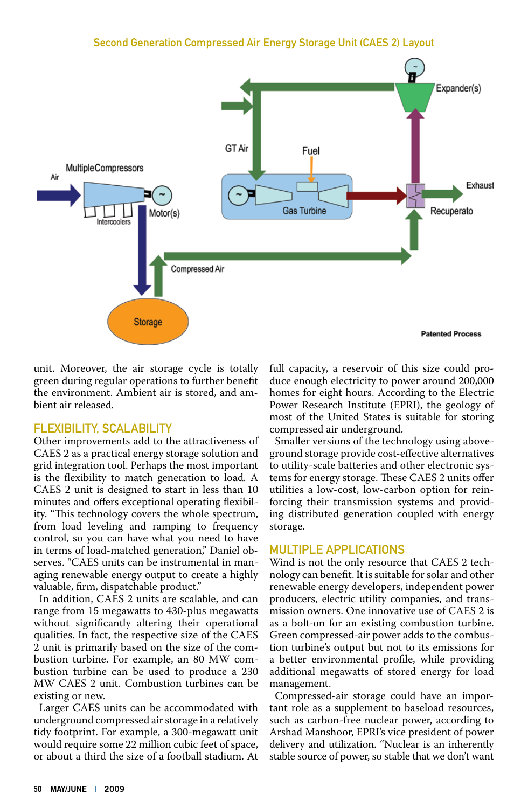### Second Generation Compressed Air Energy Storage Unit (CAES 2) Layout



unit. Moreover, the air storage cycle is totally green during regular operations to further benefit the environment. Ambient air is stored, and ambient air released.

#### Flexibility, Scalability

Other improvements add to the attractiveness of CAES 2 as a practical energy storage solution and grid integration tool. Perhaps the most important is the flexibility to match generation to load. A CAES 2 unit is designed to start in less than 10 minutes and offers exceptional operating flexibility. "This technology covers the whole spectrum, from load leveling and ramping to frequency control, so you can have what you need to have in terms of load-matched generation," Daniel observes. "CAES units can be instrumental in managing renewable energy output to create a highly valuable, firm, dispatchable product."

In addition, CAES 2 units are scalable, and can range from 15 megawatts to 430-plus megawatts without significantly altering their operational qualities. In fact, the respective size of the CAES 2 unit is primarily based on the size of the combustion turbine. For example, an 80 MW combustion turbine can be used to produce a 230 MW CAES 2 unit. Combustion turbines can be existing or new.

Larger CAES units can be accommodated with underground compressed air storage in a relatively tidy footprint. For example, a 300-megawatt unit would require some 22 million cubic feet of space, or about a third the size of a football stadium. At full capacity, a reservoir of this size could produce enough electricity to power around 200,000 homes for eight hours. According to the Electric Power Research Institute (EPRI), the geology of most of the United States is suitable for storing compressed air underground.

Smaller versions of the technology using aboveground storage provide cost-effective alternatives to utility-scale batteries and other electronic systems for energy storage. These CAES 2 units offer utilities a low-cost, low-carbon option for reinforcing their transmission systems and providing distributed generation coupled with energy storage.

#### MUITIPLE APPLICATIONS

Wind is not the only resource that CAES 2 technology can benefit. It is suitable for solar and other renewable energy developers, independent power producers, electric utility companies, and transmission owners. One innovative use of CAES 2 is as a bolt-on for an existing combustion turbine. Green compressed-air power adds to the combustion turbine's output but not to its emissions for a better environmental profile, while providing additional megawatts of stored energy for load management.

Compressed-air storage could have an important role as a supplement to baseload resources, such as carbon-free nuclear power, according to Arshad Manshoor, EPRI's vice president of power delivery and utilization. "Nuclear is an inherently stable source of power, so stable that we don't want